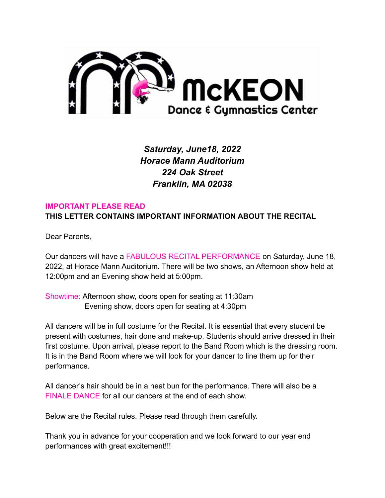

*Saturday, June18, 2022 Horace Mann Auditorium 224 Oak Street Franklin, MA 02038*

#### **IMPORTANT PLEASE READ**

**THIS LETTER CONTAINS IMPORTANT INFORMATION ABOUT THE RECITAL**

Dear Parents,

Our dancers will have a FABULOUS RECITAL PERFORMANCE on Saturday, June 18, 2022, at Horace Mann Auditorium. There will be two shows, an Afternoon show held at 12:00pm and an Evening show held at 5:00pm.

Showtime: Afternoon show, doors open for seating at 11:30am Evening show, doors open for seating at 4:30pm

All dancers will be in full costume for the Recital. It is essential that every student be present with costumes, hair done and make-up. Students should arrive dressed in their first costume. Upon arrival, please report to the Band Room which is the dressing room. It is in the Band Room where we will look for your dancer to line them up for their performance.

All dancer's hair should be in a neat bun for the performance. There will also be a FINALE DANCE for all our dancers at the end of each show.

Below are the Recital rules. Please read through them carefully.

Thank you in advance for your cooperation and we look forward to our year end performances with great excitement!!!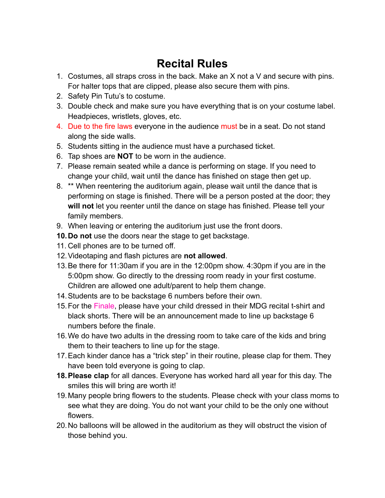# **Recital Rules**

- 1. Costumes, all straps cross in the back. Make an X not a V and secure with pins. For halter tops that are clipped, please also secure them with pins.
- 2. Safety Pin Tutu's to costume.
- 3. Double check and make sure you have everything that is on your costume label. Headpieces, wristlets, gloves, etc.
- 4. Due to the fire laws everyone in the audience must be in a seat. Do not stand along the side walls.
- 5. Students sitting in the audience must have a purchased ticket.
- 6. Tap shoes are **NOT** to be worn in the audience.
- 7. Please remain seated while a dance is performing on stage. If you need to change your child, wait until the dance has finished on stage then get up.
- 8. \*\* When reentering the auditorium again, please wait until the dance that is performing on stage is finished. There will be a person posted at the door; they **will not** let you reenter until the dance on stage has finished. Please tell your family members.
- 9. When leaving or entering the auditorium just use the front doors.
- **10.Do not** use the doors near the stage to get backstage.
- 11. Cell phones are to be turned off.
- 12.Videotaping and flash pictures are **not allowed**.
- 13.Be there for 11:30am if you are in the 12:00pm show. 4:30pm if you are in the 5:00pm show. Go directly to the dressing room ready in your first costume. Children are allowed one adult/parent to help them change.
- 14.Students are to be backstage 6 numbers before their own.
- 15.For the Finale, please have your child dressed in their MDG recital t-shirt and black shorts. There will be an announcement made to line up backstage 6 numbers before the finale.
- 16.We do have two adults in the dressing room to take care of the kids and bring them to their teachers to line up for the stage.
- 17.Each kinder dance has a "trick step" in their routine, please clap for them. They have been told everyone is going to clap.
- **18.Please clap** for all dances. Everyone has worked hard all year for this day. The smiles this will bring are worth it!
- 19.Many people bring flowers to the students. Please check with your class moms to see what they are doing. You do not want your child to be the only one without flowers.
- 20.No balloons will be allowed in the auditorium as they will obstruct the vision of those behind you.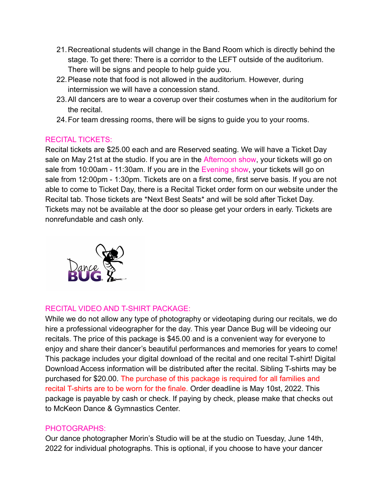- 21.Recreational students will change in the Band Room which is directly behind the stage. To get there: There is a corridor to the LEFT outside of the auditorium. There will be signs and people to help guide you.
- 22.Please note that food is not allowed in the auditorium. However, during intermission we will have a concession stand.
- 23.All dancers are to wear a coverup over their costumes when in the auditorium for the recital.
- 24.For team dressing rooms, there will be signs to guide you to your rooms.

# RECITAL TICKETS:

Recital tickets are \$25.00 each and are Reserved seating. We will have a Ticket Day sale on May 21st at the studio. If you are in the Afternoon show, your tickets will go on sale from 10:00am - 11:30am. If you are in the Evening show, your tickets will go on sale from 12:00pm - 1:30pm. Tickets are on a first come, first serve basis. If you are not able to come to Ticket Day, there is a Recital Ticket order form on our website under the Recital tab. Those tickets are \*Next Best Seats\* and will be sold after Ticket Day. Tickets may not be available at the door so please get your orders in early. Tickets are nonrefundable and cash only.



### RECITAL VIDEO AND T-SHIRT PACKAGE:

While we do not allow any type of photography or videotaping during our recitals, we do hire a professional videographer for the day. This year Dance Bug will be videoing our recitals. The price of this package is \$45.00 and is a convenient way for everyone to enjoy and share their dancer's beautiful performances and memories for years to come! This package includes your digital download of the recital and one recital T-shirt! Digital Download Access information will be distributed after the recital. Sibling T-shirts may be purchased for \$20.00. The purchase of this package is required for all families and recital T-shirts are to be worn for the finale. Order deadline is May 10st, 2022. This package is payable by cash or check. If paying by check, please make that checks out to McKeon Dance & Gymnastics Center.

### PHOTOGRAPHS:

Our dance photographer Morin's Studio will be at the studio on Tuesday, June 14th, 2022 for individual photographs. This is optional, if you choose to have your dancer